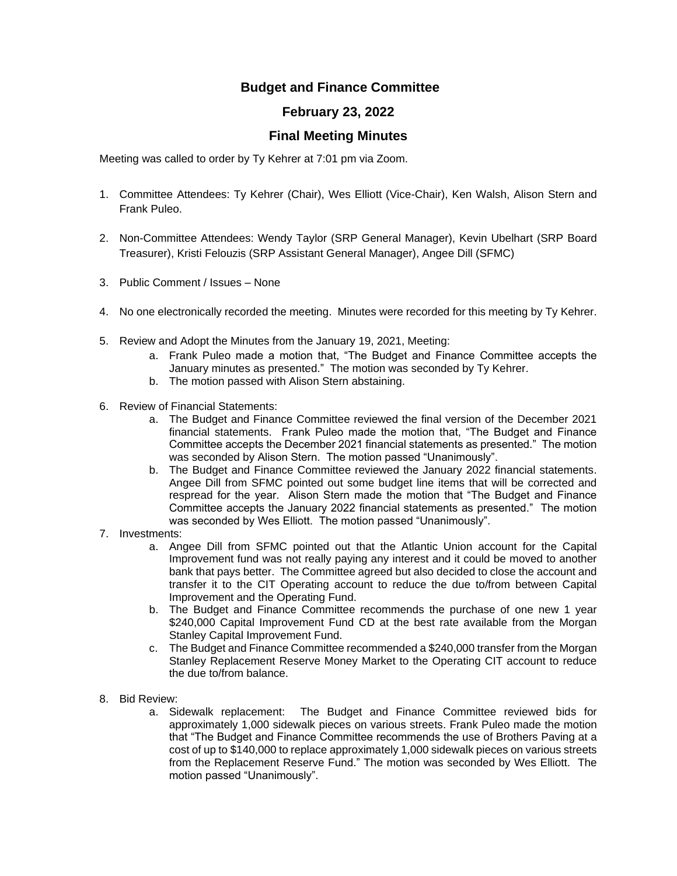## **Budget and Finance Committee**

## **February 23, 2022**

## **Final Meeting Minutes**

Meeting was called to order by Ty Kehrer at 7:01 pm via Zoom.

- 1. Committee Attendees: Ty Kehrer (Chair), Wes Elliott (Vice-Chair), Ken Walsh, Alison Stern and Frank Puleo.
- 2. Non-Committee Attendees: Wendy Taylor (SRP General Manager), Kevin Ubelhart (SRP Board Treasurer), Kristi Felouzis (SRP Assistant General Manager), Angee Dill (SFMC)
- 3. Public Comment / Issues None
- 4. No one electronically recorded the meeting. Minutes were recorded for this meeting by Ty Kehrer.
- 5. Review and Adopt the Minutes from the January 19, 2021, Meeting:
	- a. Frank Puleo made a motion that, "The Budget and Finance Committee accepts the January minutes as presented." The motion was seconded by Ty Kehrer.
	- b. The motion passed with Alison Stern abstaining.
- 6. Review of Financial Statements:
	- a. The Budget and Finance Committee reviewed the final version of the December 2021 financial statements. Frank Puleo made the motion that, "The Budget and Finance Committee accepts the December 2021 financial statements as presented." The motion was seconded by Alison Stern. The motion passed "Unanimously".
	- b. The Budget and Finance Committee reviewed the January 2022 financial statements. Angee Dill from SFMC pointed out some budget line items that will be corrected and respread for the year. Alison Stern made the motion that "The Budget and Finance Committee accepts the January 2022 financial statements as presented." The motion was seconded by Wes Elliott. The motion passed "Unanimously".
- 7. Investments:
	- a. Angee Dill from SFMC pointed out that the Atlantic Union account for the Capital Improvement fund was not really paying any interest and it could be moved to another bank that pays better. The Committee agreed but also decided to close the account and transfer it to the CIT Operating account to reduce the due to/from between Capital Improvement and the Operating Fund.
	- b. The Budget and Finance Committee recommends the purchase of one new 1 year \$240,000 Capital Improvement Fund CD at the best rate available from the Morgan Stanley Capital Improvement Fund.
	- c. The Budget and Finance Committee recommended a \$240,000 transfer from the Morgan Stanley Replacement Reserve Money Market to the Operating CIT account to reduce the due to/from balance.
- 8. Bid Review:
	- a. Sidewalk replacement: The Budget and Finance Committee reviewed bids for approximately 1,000 sidewalk pieces on various streets. Frank Puleo made the motion that "The Budget and Finance Committee recommends the use of Brothers Paving at a cost of up to \$140,000 to replace approximately 1,000 sidewalk pieces on various streets from the Replacement Reserve Fund." The motion was seconded by Wes Elliott. The motion passed "Unanimously".